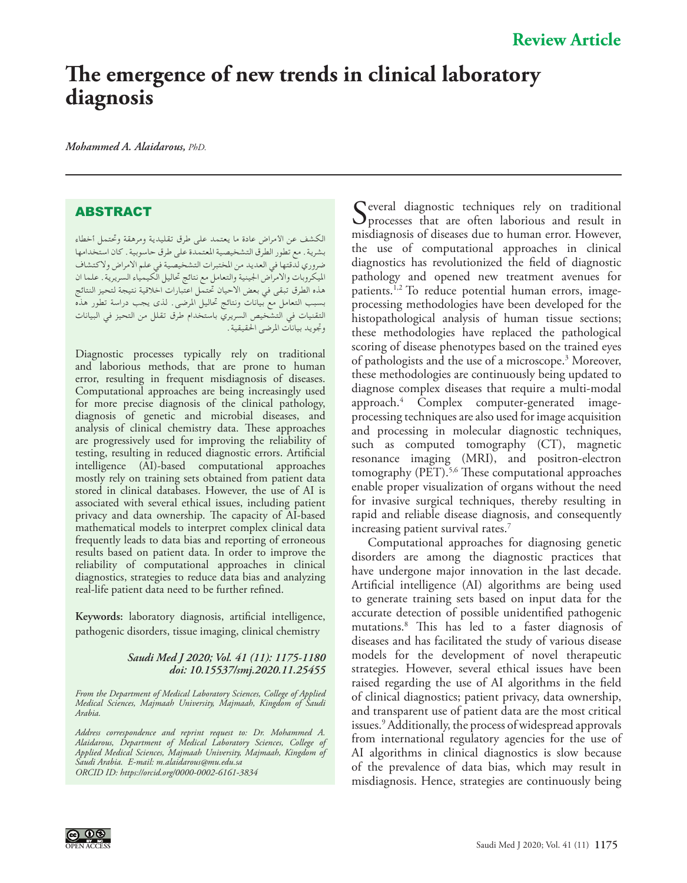# **The emergence of new trends in clinical laboratory diagnosis**

*Mohammed A. Alaidarous, PhD.* 

## **ABSTRACT**

الكشف عن األمراض عادة ما يعتمد على طرق تقليدية ومرهقة وحتتمل أخطاء بشرية. مع تطور الطرق التشخيصية املعتمدة على طرق حاسوبية. كان استخدامها ضروري لدقتها في العديد من املختبرات التشخيصية في علم االمراض والكتشاف امليكروبات واالمراض اجلينية والتعامل مع نتائج حتاليل الكيمياء السريرية. علما ان هذه الطرق تبقى في بعض االحيان حتتمل اعتبارات اخالقية نتيجة لتحيز النتائج بسبب التعامل مع بيانات ونتائج حتاليل املرضى. لذى يجب دراسة تطور هذه التقنيات في التشخيص السريري باستخدام طرق تقلل من التحيز في البيانات وجتويد بيانات املرضى احلقيقية.

Diagnostic processes typically rely on traditional and laborious methods, that are prone to human error, resulting in frequent misdiagnosis of diseases. Computational approaches are being increasingly used for more precise diagnosis of the clinical pathology, diagnosis of genetic and microbial diseases, and analysis of clinical chemistry data. These approaches are progressively used for improving the reliability of testing, resulting in reduced diagnostic errors. Artificial intelligence (AI)-based computational approaches mostly rely on training sets obtained from patient data stored in clinical databases. However, the use of AI is associated with several ethical issues, including patient privacy and data ownership. The capacity of AI-based mathematical models to interpret complex clinical data frequently leads to data bias and reporting of erroneous results based on patient data. In order to improve the reliability of computational approaches in clinical diagnostics, strategies to reduce data bias and analyzing real-life patient data need to be further refined.

**Keywords:** laboratory diagnosis, artificial intelligence, pathogenic disorders, tissue imaging, clinical chemistry

#### *Saudi Med J 2020; Vol. 41 (11): 1175-1180 doi: 10.15537/smj.2020.11.25455*

*From the Department of Medical Laboratory Sciences, College of Applied Medical Sciences, Majmaah University, Majmaah, Kingdom of Saudi Arabia.* 

*Address correspondence and reprint request to: Dr. Mohammed A. Alaidarous, Department of Medical Laboratory Sciences, College of Applied Medical Sciences, Majmaah University, Majmaah, Kingdom of Saudi Arabia. E-mail: m.alaidarous@mu.edu.sa [ORCID ID: https://orcid.org/0000-0002-6161-3834](https://orcid.org/0000-0002-6161-3834)*

Several diagnostic techniques rely on traditional<br>processes that are often laborious and result in misdiagnosis of diseases due to human error. However, the use of computational approaches in clinical diagnostics has revolutionized the field of diagnostic pathology and opened new treatment avenues for patients.[1,](#page-4-0)[2](#page-4-1) To reduce potential human errors, imageprocessing methodologies have been developed for the histopathological analysis of human tissue sections; these methodologies have replaced the pathological scoring of disease phenotypes based on the trained eyes of pathologists and the use of a microscope.[3](#page-4-2) Moreover, these methodologies are continuously being updated to diagnose complex diseases that require a multi-modal approach.[4](#page-4-3) Complex computer-generated imageprocessing techniques are also used for image acquisition and processing in molecular diagnostic techniques, such as computed tomography (CT), magnetic resonance imaging (MRI), and positron-electron tomography (PET).<sup>[5](#page-4-4),6</sup> These computational approaches enable proper visualization of organs without the need for invasive surgical techniques, thereby resulting in rapid and reliable disease diagnosis, and consequently increasing patient survival rates.<sup>[7](#page-4-5)</sup>

Computational approaches for diagnosing genetic disorders are among the diagnostic practices that have undergone major innovation in the last decade. Artificial intelligence (AI) algorithms are being used to generate training sets based on input data for the accurate detection of possible unidentified pathogenic mutations[.8](#page-4-6) This has led to a faster diagnosis of diseases and has facilitated the study of various disease models for the development of novel therapeutic strategies. However, several ethical issues have been raised regarding the use of AI algorithms in the field of clinical diagnostics; patient privacy, data ownership, and transparent use of patient data are the most critical issues.<sup>[9](#page-4-7)</sup> Additionally, the process of widespread approvals from international regulatory agencies for the use of AI algorithms in clinical diagnostics is slow because of the prevalence of data bias, which may result in misdiagnosis. Hence, strategies are continuously being

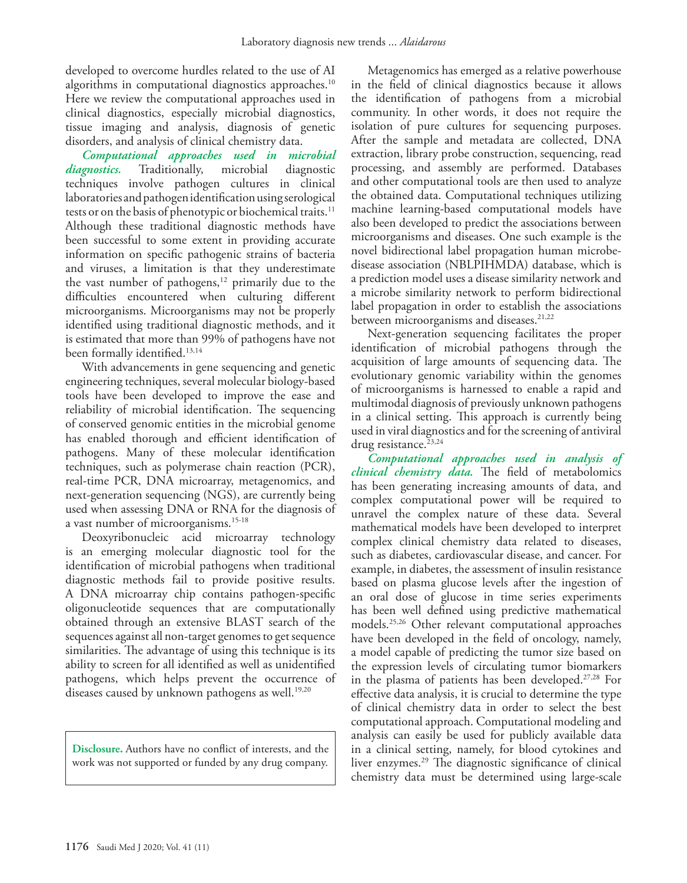developed to overcome hurdles related to the use of AI algorithms in computational diagnostics approaches.<sup>10</sup> Here we review the computational approaches used in clinical diagnostics, especially microbial diagnostics, tissue imaging and analysis, diagnosis of genetic disorders, and analysis of clinical chemistry data.

*Computational approaches used in microbial diagnostics.* Traditionally, microbial diagnostic techniques involve pathogen cultures in clinical laboratories and pathogen identification using serological tests or on the basis of phenotypic or biochemical traits.<sup>11</sup> Although these traditional diagnostic methods have been successful to some extent in providing accurate information on specific pathogenic strains of bacteria and viruses, a limitation is that they underestimate the vast number of pathogens, $12$  primarily due to the difficulties encountered when culturing different microorganisms. Microorganisms may not be properly identified using traditional diagnostic methods, and it is estimated that more than 99% of pathogens have not been formally identified.<sup>[13](#page-4-11),[14](#page-4-12)</sup>

With advancements in gene sequencing and genetic engineering techniques, several molecular biology-based tools have been developed to improve the ease and reliability of microbial identification. The sequencing of conserved genomic entities in the microbial genome has enabled thorough and efficient identification of pathogens. Many of these molecular identification techniques, such as polymerase chain reaction (PCR), real-time PCR, DNA microarray, metagenomics, and next-generation sequencing (NGS), are currently being used when assessing DNA or RNA for the diagnosis of a vast number of microorganisms.<sup>[15](#page-4-13)[-18](#page-4-14)</sup>

Deoxyribonucleic acid microarray technology is an emerging molecular diagnostic tool for the identification of microbial pathogens when traditional diagnostic methods fail to provide positive results. A DNA microarray chip contains pathogen-specific oligonucleotide sequences that are computationally obtained through an extensive BLAST search of the sequences against all non-target genomes to get sequence similarities. The advantage of using this technique is its ability to screen for all identified as well as unidentified pathogens, which helps prevent the occurrence of diseases caused by unknown pathogens as well.<sup>19,[20](#page-4-16)</sup>

**Disclosure.** Authors have no conflict of interests, and the work was not supported or funded by any drug company.

Metagenomics has emerged as a relative powerhouse in the field of clinical diagnostics because it allows the identification of pathogens from a microbial community. In other words, it does not require the isolation of pure cultures for sequencing purposes. After the sample and metadata are collected, DNA extraction, library probe construction, sequencing, read processing, and assembly are performed. Databases and other computational tools are then used to analyze the obtained data. Computational techniques utilizing machine learning-based computational models have also been developed to predict the associations between microorganisms and diseases. One such example is the novel bidirectional label propagation human microbedisease association (NBLPIHMDA) database, which is a prediction model uses a disease similarity network and a microbe similarity network to perform bidirectional label propagation in order to establish the associations between microorganisms and diseases.<sup>[21](#page-4-17),[22](#page-4-18)</sup>

Next-generation sequencing facilitates the proper identification of microbial pathogens through the acquisition of large amounts of sequencing data. The evolutionary genomic variability within the genomes of microorganisms is harnessed to enable a rapid and multimodal diagnosis of previously unknown pathogens in a clinical setting. This approach is currently being used in viral diagnostics and for the screening of antiviral drug resistance.<sup>[23](#page-4-19),[24](#page-4-20)</sup>

*Computational approaches used in analysis of clinical chemistry data.* The field of metabolomics has been generating increasing amounts of data, and complex computational power will be required to unravel the complex nature of these data. Several mathematical models have been developed to interpret complex clinical chemistry data related to diseases, such as diabetes, cardiovascular disease, and cancer. For example, in diabetes, the assessment of insulin resistance based on plasma glucose levels after the ingestion of an oral dose of glucose in time series experiments has been well defined using predictive mathematical models[.25](#page-4-21)[,26](#page-4-22) Other relevant computational approaches have been developed in the field of oncology, namely, a model capable of predicting the tumor size based on the expression levels of circulating tumor biomarkers in the plasma of patients has been developed[.27,](#page-4-23)[28](#page-4-24) For effective data analysis, it is crucial to determine the type of clinical chemistry data in order to select the best computational approach. Computational modeling and analysis can easily be used for publicly available data in a clinical setting, namely, for blood cytokines and liver enzymes[.29](#page-5-0) The diagnostic significance of clinical chemistry data must be determined using large-scale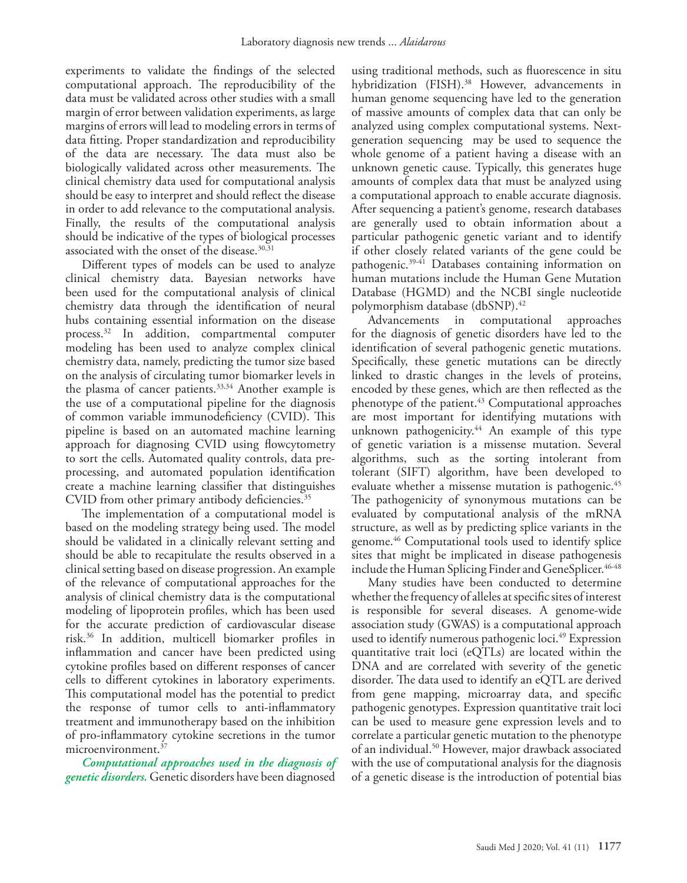experiments to validate the findings of the selected computational approach. The reproducibility of the data must be validated across other studies with a small margin of error between validation experiments, as large margins of errors will lead to modeling errors in terms of data fitting. Proper standardization and reproducibility of the data are necessary. The data must also be biologically validated across other measurements. The clinical chemistry data used for computational analysis should be easy to interpret and should reflect the disease in order to add relevance to the computational analysis. Finally, the results of the computational analysis should be indicative of the types of biological processes associated with the onset of the disease.<sup>30[,31](#page-5-2)</sup>

Different types of models can be used to analyze clinical chemistry data. Bayesian networks have been used for the computational analysis of clinical chemistry data through the identification of neural hubs containing essential information on the disease process.[32](#page-5-3) In addition, compartmental computer modeling has been used to analyze complex clinical chemistry data, namely, predicting the tumor size based on the analysis of circulating tumor biomarker levels in the plasma of cancer patients.[33,](#page-5-4)[34](#page-5-5) Another example is the use of a computational pipeline for the diagnosis of common variable immunodeficiency (CVID). This pipeline is based on an automated machine learning approach for diagnosing CVID using flowcytometry to sort the cells. Automated quality controls, data preprocessing, and automated population identification create a machine learning classifier that distinguishes CVID from other primary antibody deficiencies.<sup>35</sup>

The implementation of a computational model is based on the modeling strategy being used. The model should be validated in a clinically relevant setting and should be able to recapitulate the results observed in a clinical setting based on disease progression. An example of the relevance of computational approaches for the analysis of clinical chemistry data is the computational modeling of lipoprotein profiles, which has been used for the accurate prediction of cardiovascular disease risk.[36](#page-5-7) In addition, multicell biomarker profiles in inflammation and cancer have been predicted using cytokine profiles based on different responses of cancer cells to different cytokines in laboratory experiments. This computational model has the potential to predict the response of tumor cells to anti-inflammatory treatment and immunotherapy based on the inhibition of pro-inflammatory cytokine secretions in the tumor microenvironment.[37](#page-5-8)

*Computational approaches used in the diagnosis of genetic disorders.* Genetic disorders have been diagnosed

using traditional methods, such as fluorescence in situ hybridization (FISH).<sup>38</sup> However, advancements in human genome sequencing have led to the generation of massive amounts of complex data that can only be analyzed using complex computational systems. Nextgeneration sequencing may be used to sequence the whole genome of a patient having a disease with an unknown genetic cause. Typically, this generates huge amounts of complex data that must be analyzed using a computational approach to enable accurate diagnosis. After sequencing a patient's genome, research databases are generally used to obtain information about a particular pathogenic genetic variant and to identify if other closely related variants of the gene could be pathogenic[.39-](#page-5-10)[41](#page-5-11) Databases containing information on human mutations include the Human Gene Mutation Database (HGMD) and the NCBI single nucleotide polymorphism database (dbSNP)[.42](#page-5-12) 

Advancements in computational approaches for the diagnosis of genetic disorders have led to the identification of several pathogenic genetic mutations. Specifically, these genetic mutations can be directly linked to drastic changes in the levels of proteins, encoded by these genes, which are then reflected as the phenotype of the patient.<sup>[43](#page-5-13)</sup> Computational approaches are most important for identifying mutations with unknown pathogenicity.<sup>44</sup> An example of this type of genetic variation is a missense mutation. Several algorithms, such as the sorting intolerant from tolerant (SIFT) algorithm, have been developed to evaluate whether a missense mutation is pathogenic.<sup>45</sup> The pathogenicity of synonymous mutations can be evaluated by computational analysis of the mRNA structure, as well as by predicting splice variants in the genome.46 Computational tools used to identify splice sites that might be implicated in disease pathogenesis include the Human Splicing Finder and GeneSplicer.<sup>[46](#page-5-16)[-48](#page-5-17)</sup>

Many studies have been conducted to determine whether the frequency of alleles at specific sites of interest is responsible for several diseases. A genome-wide association study (GWAS) is a computational approach used to identify numerous pathogenic loci.<sup>49</sup> Expression quantitative trait loci (eQTLs) are located within the DNA and are correlated with severity of the genetic disorder. The data used to identify an eQTL are derived from gene mapping, microarray data, and specific pathogenic genotypes. Expression quantitative trait loci can be used to measure gene expression levels and to correlate a particular genetic mutation to the phenotype of an individual[.50](#page-5-19) However, major drawback associated with the use of computational analysis for the diagnosis of a genetic disease is the introduction of potential bias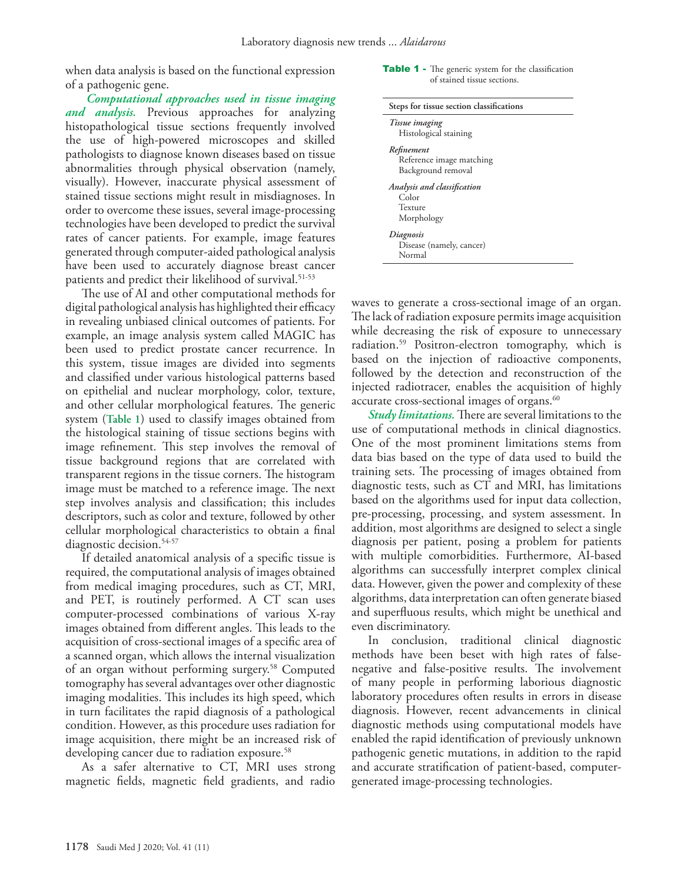when data analysis is based on the functional expression of a pathogenic gene.

 *Computational approaches used in tissue imaging and analysis.* Previous approaches for analyzing histopathological tissue sections frequently involved the use of high-powered microscopes and skilled pathologists to diagnose known diseases based on tissue abnormalities through physical observation (namely, visually). However, inaccurate physical assessment of stained tissue sections might result in misdiagnoses. In order to overcome these issues, several image-processing technologies have been developed to predict the survival rates of cancer patients. For example, image features generated through computer-aided pathological analysis have been used to accurately diagnose breast cancer patients and predict their likelihood of survival[.51-](#page-5-20)[53](#page-5-21)

The use of AI and other computational methods for digital pathological analysis has highlighted their efficacy in revealing unbiased clinical outcomes of patients. For example, an image analysis system called MAGIC has been used to predict prostate cancer recurrence. In this system, tissue images are divided into segments and classified under various histological patterns based on epithelial and nuclear morphology, color, texture, and other cellular morphological features. The generic system (**Table 1**) used to classify images obtained from the histological staining of tissue sections begins with image refinement. This step involves the removal of tissue background regions that are correlated with transparent regions in the tissue corners. The histogram image must be matched to a reference image. The next step involves analysis and classification; this includes descriptors, such as color and texture, followed by other cellular morphological characteristics to obtain a final diagnostic decision.<sup>[54-](#page-5-22)[57](#page-5-23)</sup>

If detailed anatomical analysis of a specific tissue is required, the computational analysis of images obtained from medical imaging procedures, such as CT, MRI, and PET, is routinely performed. A CT scan uses computer-processed combinations of various X-ray images obtained from different angles. This leads to the acquisition of cross-sectional images of a specific area of a scanned organ, which allows the internal visualization of an organ without performing surgery.[58](#page-5-24) Computed tomography has several advantages over other diagnostic imaging modalities. This includes its high speed, which in turn facilitates the rapid diagnosis of a pathological condition. However, as this procedure uses radiation for image acquisition, there might be an increased risk of developing cancer due to radiation exposure.<sup>58</sup>

As a safer alternative to CT, MRI uses strong magnetic fields, magnetic field gradients, and radio

#### Table 1 - The generic system for the classification of stained tissue sections.

| Steps for tissue section classifications                      |  |
|---------------------------------------------------------------|--|
| Tissue imaging<br>Histological staining                       |  |
| Refinement<br>Reference image matching<br>Background removal  |  |
| Analysis and classification<br>Color<br>Texture<br>Morphology |  |
| Diagnosis<br>Disease (namely, cancer)<br>Normal               |  |

waves to generate a cross-sectional image of an organ. The lack of radiation exposure permits image acquisition while decreasing the risk of exposure to unnecessary radiation.[59](#page-5-25) Positron-electron tomography, which is based on the injection of radioactive components, followed by the detection and reconstruction of the injected radiotracer, enables the acquisition of highly accurate cross-sectional images of organs.<sup>[60](#page-5-26)</sup>

*Study limitations.* There are several limitations to the use of computational methods in clinical diagnostics. One of the most prominent limitations stems from data bias based on the type of data used to build the training sets. The processing of images obtained from diagnostic tests, such as CT and MRI, has limitations based on the algorithms used for input data collection, pre-processing, processing, and system assessment. In addition, most algorithms are designed to select a single diagnosis per patient, posing a problem for patients with multiple comorbidities. Furthermore, AI-based algorithms can successfully interpret complex clinical data. However, given the power and complexity of these algorithms, data interpretation can often generate biased and superfluous results, which might be unethical and even discriminatory.

In conclusion, traditional clinical diagnostic methods have been beset with high rates of falsenegative and false-positive results. The involvement of many people in performing laborious diagnostic laboratory procedures often results in errors in disease diagnosis. However, recent advancements in clinical diagnostic methods using computational models have enabled the rapid identification of previously unknown pathogenic genetic mutations, in addition to the rapid and accurate stratification of patient-based, computergenerated image-processing technologies.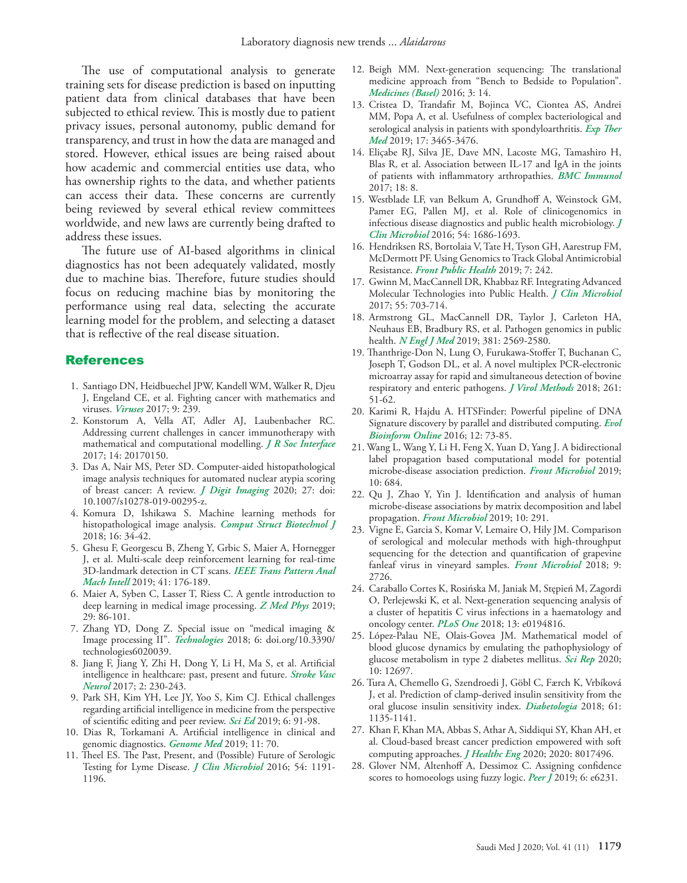The use of computational analysis to generate training sets for disease prediction is based on inputting patient data from clinical databases that have been subjected to ethical review. This is mostly due to patient privacy issues, personal autonomy, public demand for transparency, and trust in how the data are managed and stored. However, ethical issues are being raised about how academic and commercial entities use data, who has ownership rights to the data, and whether patients can access their data. These concerns are currently being reviewed by several ethical review committees worldwide, and new laws are currently being drafted to address these issues.

The future use of AI-based algorithms in clinical diagnostics has not been adequately validated, mostly due to machine bias. Therefore, future studies should focus on reducing machine bias by monitoring the performance using real data, selecting the accurate learning model for the problem, and selecting a dataset that is reflective of the real disease situation.

### References

- <span id="page-4-0"></span> 1. [Santiago DN, Heidbuechel JPW, Kandell WM, Walker R, Djeu](doi: 10.3390/v9090239. )  [J, Engeland CE, et al. Fighting cancer with mathematics and](doi: 10.3390/v9090239. )  viruses. *Viruses* [2017; 9: 239.](doi: 10.3390/v9090239. )
- <span id="page-4-1"></span> 2. [Konstorum A, Vella AT, Adler AJ, Laubenbacher RC.](doi: 10.1098/rsif.2017.0150.)  [Addressing current challenges in cancer immunotherapy with](doi: 10.1098/rsif.2017.0150.)  [mathematical and computational modelling.](doi: 10.1098/rsif.2017.0150.) *J R Soc Interface* [2017; 14: 20170150.](doi: 10.1098/rsif.2017.0150.)
- <span id="page-4-2"></span> 3. [Das A, Nair MS, Peter SD. Computer-aided histopathological](doi: 10.1007/s10278-019-00295-z. )  [image analysis techniques for automated nuclear atypia scoring](doi: 10.1007/s10278-019-00295-z. )  [of breast cancer: A review.](doi: 10.1007/s10278-019-00295-z. ) *J Digit Imaging* 2020; 27: doi: [10.1007/s10278-019-00295-z.](doi: 10.1007/s10278-019-00295-z. )
- <span id="page-4-3"></span> 4. [Komura D, Ishikawa S. Machine learning methods for](https://doi.org/10.1016/j.csbj.2018.01.001.)  [histopathological image analysis.](https://doi.org/10.1016/j.csbj.2018.01.001.) *Comput Struct Biotechnol J* [2018; 16: 34-42.](https://doi.org/10.1016/j.csbj.2018.01.001.)
- <span id="page-4-4"></span> 5. [Ghesu F, Georgescu B, Zheng Y, Grbic S, Maier A, Hornegger](https://doi.org/10.1109/TPAMI.2017.2782687.)  [J, et al. Multi-scale deep reinforcement learning for real-time](https://doi.org/10.1109/TPAMI.2017.2782687.)  [3D-landmark detection in CT scans.](https://doi.org/10.1109/TPAMI.2017.2782687.) *IEEE Trans Pattern Anal Mach Intell* [2019; 41: 176-189.](https://doi.org/10.1109/TPAMI.2017.2782687.)
- [6.](http://) [Maier A, Syben C, Lasser T, Riess C. A gentle introduction to](https://doi.org/10.1016/j.zemedi.2018.12.003)  [deep learning in medical image processing.](https://doi.org/10.1016/j.zemedi.2018.12.003) *Z Med Phys* 2019; [29: 86-101.](https://doi.org/10.1016/j.zemedi.2018.12.003)
- <span id="page-4-5"></span> 7. [Zhang YD, Dong Z. Special issue on "medical imaging &](https://doi.org/10.3390/technologies6020039)  Image processing II". *Technologies* [2018; 6: doi.org/10.3390/](https://doi.org/10.3390/technologies6020039) [technologies6020039.](https://doi.org/10.3390/technologies6020039)
- <span id="page-4-6"></span> 8. [Jiang F, Jiang Y, Zhi H, Dong Y, Li H, Ma S, et al. Artificial](https://doi.org/10.1136/svn-2017-000101)  [intelligence in healthcare: past, present and future.](https://doi.org/10.1136/svn-2017-000101) *Stroke Vasc Neurol* [2017; 2: 230-243.](https://doi.org/10.1136/svn-2017-000101)
- <span id="page-4-7"></span> 9. [Park SH, Kim YH, Lee JY, Yoo S, Kim CJ. Ethical challenges](https://doi.org/10.6087/kcse.164)  [regarding artificial intelligence in medicine from the perspective](https://doi.org/10.6087/kcse.164)  [of scientific editing and peer review.](https://doi.org/10.6087/kcse.164) *Sci Ed* 2019; 6: 91-98.
- <span id="page-4-8"></span>10. [Dias R, Torkamani A. Artificial intelligence in clinical and](https://doi.org/10.1186/s13073-019-0689-8)  [genomic diagnostics.](https://doi.org/10.1186/s13073-019-0689-8) *Genome Med* 2019; 11: 70.
- <span id="page-4-9"></span>11. [Theel ES. The Past, Present, and \(Possible\) Future of Serologic](https://doi.org/10.1128/JCM.03394-15)  [Testing for Lyme Disease.](https://doi.org/10.1128/JCM.03394-15) *J Clin Microbiol* 2016; 54: 1191- [1196.](https://doi.org/10.1128/JCM.03394-15)
- <span id="page-4-10"></span>12. [Beigh MM. Next-generation sequencing: The translational](doi: 10.3390/medicines3020014)  [medicine approach from "Bench to Bedside to Population".](doi: 10.3390/medicines3020014)  *[Medicines \(Basel\)](doi: 10.3390/medicines3020014)* 2016; 3: 14.
- <span id="page-4-11"></span>13. [Cristea D, Trandafir M, Bojinca VC, Ciontea AS, Andrei](https://doi.org/10.3892/etm.2019.7336)  [MM, Popa A, et al. Usefulness of complex bacteriological and](https://doi.org/10.3892/etm.2019.7336)  [serological analysis in patients with spondyloarthritis.](https://doi.org/10.3892/etm.2019.7336) *Exp Ther Med* [2019; 17: 3465-3476.](https://doi.org/10.3892/etm.2019.7336)
- <span id="page-4-12"></span>14. [Eliçabe RJ, Silva JE, Dave MN, Lacoste MG, Tamashiro H,](https://doi.org/10.1186/s12865-017-0189-9)  [Blas R, et al. Association between IL-17 and IgA in the joints](https://doi.org/10.1186/s12865-017-0189-9)  [of patients with inflammatory arthropathies.](https://doi.org/10.1186/s12865-017-0189-9) *BMC Immunol*  [2017; 18: 8.](https://doi.org/10.1186/s12865-017-0189-9)
- <span id="page-4-13"></span>15. [Westblade LF, van Belkum A, Grundhoff A, Weinstock GM,](https://doi.org/10.1128/JCM.02664-15)  [Pamer EG, Pallen MJ, et al. Role of clinicogenomics in](https://doi.org/10.1128/JCM.02664-15)  [infectious disease diagnostics and public health microbiology.](https://doi.org/10.1128/JCM.02664-15) *J Clin Microbiol* [2016; 54: 1686-1693.](https://doi.org/10.1128/JCM.02664-15)
- 16. [Hendriksen RS, Bortolaia V, Tate H, Tyson GH, Aarestrup FM,](https://doi.org/10.3389/fpubh.2019.00242)  [McDermott PF. Using Genomics to Track Global Antimicrobial](https://doi.org/10.3389/fpubh.2019.00242)  Resistance. *[Front Public Health](https://doi.org/10.3389/fpubh.2019.00242)* 2019; 7: 242.
- 17. [Gwinn M, MacCannell DR, Khabbaz RF. Integrating Advanced](https://doi.org/10.1128/JCM.01967-16)  [Molecular Technologies into Public Health.](https://doi.org/10.1128/JCM.01967-16) *J Clin Microbiol*  [2017; 55: 703-714.](https://doi.org/10.1128/JCM.01967-16)
- <span id="page-4-14"></span>18. [Armstrong GL, MacCannell DR, Taylor J, Carleton HA,](https://doi.org/10.1056/NEJMsr1813907)  [Neuhaus EB, Bradbury RS, et al. Pathogen genomics in public](https://doi.org/10.1056/NEJMsr1813907)  health. *N Engl J Med* [2019; 381: 2569-2580.](https://doi.org/10.1056/NEJMsr1813907)
- <span id="page-4-15"></span>19. [Thanthrige-Don N, Lung O, Furukawa-Stoffer T, Buchanan C,](https://doi.org/10.1016/j.jviromet.2018.08.010)  [Joseph T, Godson DL, et al. A novel multiplex PCR-electronic](https://doi.org/10.1016/j.jviromet.2018.08.010)  [microarray assay for rapid and simultaneous detection of bovine](https://doi.org/10.1016/j.jviromet.2018.08.010)  [respiratory and enteric pathogens.](https://doi.org/10.1016/j.jviromet.2018.08.010) *J Virol Methods* 2018; 261: [51-62.](https://doi.org/10.1016/j.jviromet.2018.08.010)
- <span id="page-4-16"></span>20. [Karimi R, Hajdu A. HTSFinder: Powerful pipeline of DNA](https://doi.org/10.4137/EBO.S35545)  [Signature discovery by parallel and distributed computing.](https://doi.org/10.4137/EBO.S35545) *Evol [Bioinform Online](https://doi.org/10.4137/EBO.S35545)* 2016; 12: 73-85.
- <span id="page-4-17"></span>21. [Wang L, Wang Y, Li H, Feng X, Yuan D, Yang J. A bidirectional](https://doi.org/10.3389/fmicb.2019.00684)  [label propagation based computational model for potential](https://doi.org/10.3389/fmicb.2019.00684)  [microbe-disease association prediction.](https://doi.org/10.3389/fmicb.2019.00684) *Front Microbiol* 2019; [10: 684.](https://doi.org/10.3389/fmicb.2019.00684)
- <span id="page-4-18"></span>22. [Qu J, Zhao Y, Yin J. Identification and analysis of human](https://doi.org/10.3389/fmicb.2019.00291 )  [microbe-disease associations by matrix decomposition and label](https://doi.org/10.3389/fmicb.2019.00291 )  propagation. *[Front Microbiol](https://doi.org/10.3389/fmicb.2019.00291 )* 2019; 10: 291.
- <span id="page-4-19"></span>23. [Vigne E, Garcia S, Komar V, Lemaire O, Hily JM. Comparison](https://doi.org/10.3389/fmicb.2018.02726)  [of serological and molecular methods with high-throughput](https://doi.org/10.3389/fmicb.2018.02726)  [sequencing for the detection and quantification of grapevine](https://doi.org/10.3389/fmicb.2018.02726)  [fanleaf virus in vineyard samples.](https://doi.org/10.3389/fmicb.2018.02726) *Front Microbiol* 2018; 9: [2726.](https://doi.org/10.3389/fmicb.2018.02726)
- <span id="page-4-20"></span>24. [Caraballo Cortes K, Rosińska M, Janiak M, Stępień M, Zagordi](https://doi.org/10.1371/journal.pone.0194816)  [O, Perlejewski K, et al. Next-generation sequencing analysis of](https://doi.org/10.1371/journal.pone.0194816)  [a cluster of hepatitis C virus infections in a haematology and](https://doi.org/10.1371/journal.pone.0194816)  oncology center. *PLoS One* [2018; 13: e0194816.](https://doi.org/10.1371/journal.pone.0194816)
- <span id="page-4-21"></span>25. [López-Palau NE, Olais-Govea JM. Mathematical model of](https://doi.org/10.1038/s41598-020-69629-0)  [blood glucose dynamics by emulating the pathophysiology of](https://doi.org/10.1038/s41598-020-69629-0)  [glucose metabolism in type 2 diabetes mellitus.](https://doi.org/10.1038/s41598-020-69629-0) *Sci Rep* 2020; [10: 12697.](https://doi.org/10.1038/s41598-020-69629-0)
- <span id="page-4-22"></span>26. [Tura A, Chemello G, Szendroedi J, Göbl C, Færch K, Vrbíková](https://doi.org/10.1007/s00125-018-4568-4)  [J, et al. Prediction of clamp-derived insulin sensitivity from the](https://doi.org/10.1007/s00125-018-4568-4)  [oral glucose insulin sensitivity index.](https://doi.org/10.1007/s00125-018-4568-4) *Diabetologia* 2018; 61: [1135-1141.](https://doi.org/10.1007/s00125-018-4568-4)
- <span id="page-4-23"></span>27. [Khan F, Khan MA, Abbas S, Athar A, Siddiqui SY, Khan AH, et](https://doi.org/10.1155/2020/8017496)  [al. Cloud-based breast cancer prediction empowered with soft](https://doi.org/10.1155/2020/8017496)  [computing approaches.](https://doi.org/10.1155/2020/8017496) *J Healthc Eng* 2020; 2020: 8017496.
- <span id="page-4-24"></span>28. [Glover NM, Altenhoff A, Dessimoz C. Assigning confidence](https://doi.org/10.7717/peerj.6231)  [scores to homoeologs using fuzzy logic.](https://doi.org/10.7717/peerj.6231) *Peer J* 2019; 6: e6231.